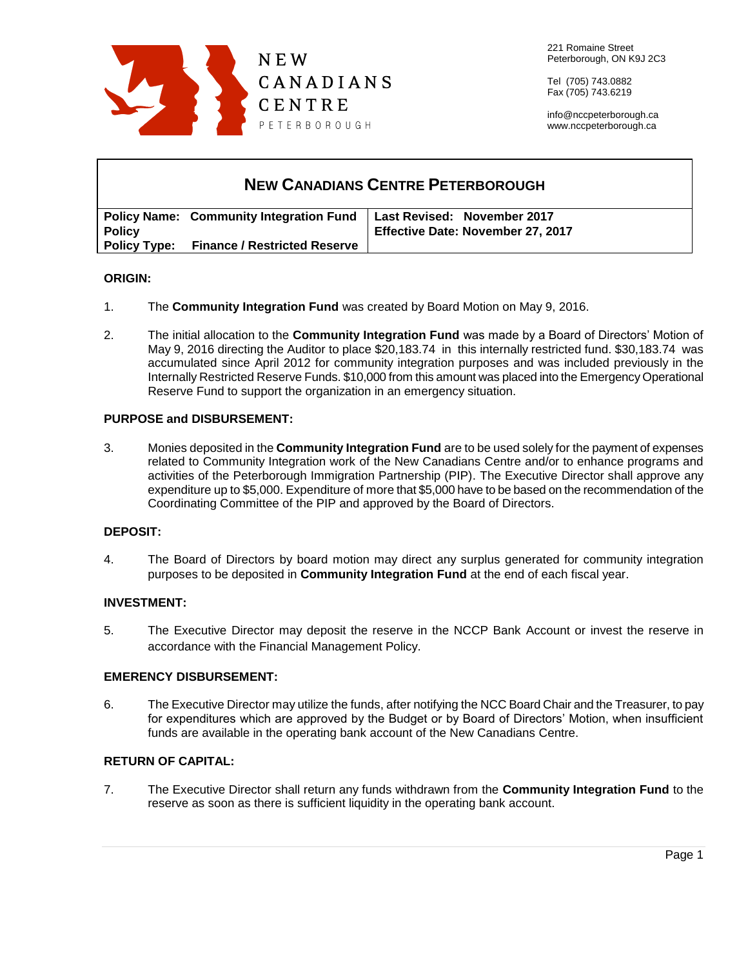

Tel (705) 743.0882 Fax (705) 743.6219

info@nccpeterborough.ca www.nccpeterborough.ca

| <b>NEW CANADIANS CENTRE PETERBOROUGH</b> |                                                  |                                   |
|------------------------------------------|--------------------------------------------------|-----------------------------------|
|                                          | <b>Policy Name: Community Integration Fund</b>   | Last Revised: November 2017       |
| <b>Policy</b>                            |                                                  | Effective Date: November 27, 2017 |
|                                          | <b>Policy Type: Finance / Restricted Reserve</b> |                                   |

## **ORIGIN:**

- 1. The **Community Integration Fund** was created by Board Motion on May 9, 2016.
- 2. The initial allocation to the **Community Integration Fund** was made by a Board of Directors' Motion of May 9, 2016 directing the Auditor to place \$20,183.74 in this internally restricted fund. \$30,183.74 was accumulated since April 2012 for community integration purposes and was included previously in the Internally Restricted Reserve Funds. \$10,000 from this amount was placed into the Emergency Operational Reserve Fund to support the organization in an emergency situation.

## **PURPOSE and DISBURSEMENT:**

3. Monies deposited in the **Community Integration Fund** are to be used solely for the payment of expenses related to Community Integration work of the New Canadians Centre and/or to enhance programs and activities of the Peterborough Immigration Partnership (PIP). The Executive Director shall approve any expenditure up to \$5,000. Expenditure of more that \$5,000 have to be based on the recommendation of the Coordinating Committee of the PIP and approved by the Board of Directors.

## **DEPOSIT:**

4. The Board of Directors by board motion may direct any surplus generated for community integration purposes to be deposited in **Community Integration Fund** at the end of each fiscal year.

## **INVESTMENT:**

5. The Executive Director may deposit the reserve in the NCCP Bank Account or invest the reserve in accordance with the Financial Management Policy.

## **EMERENCY DISBURSEMENT:**

6. The Executive Director may utilize the funds, after notifying the NCC Board Chair and the Treasurer, to pay for expenditures which are approved by the Budget or by Board of Directors' Motion, when insufficient funds are available in the operating bank account of the New Canadians Centre.

# **RETURN OF CAPITAL:**

7. The Executive Director shall return any funds withdrawn from the **Community Integration Fund** to the reserve as soon as there is sufficient liquidity in the operating bank account.